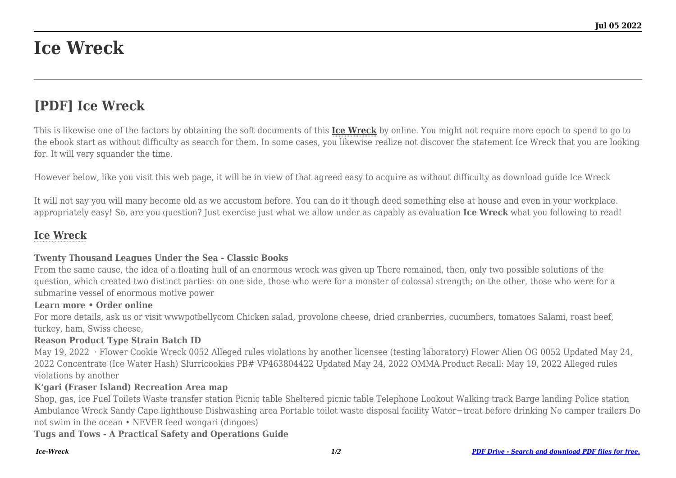# **Ice Wreck**

## **[PDF] Ice Wreck**

This is likewise one of the factors by obtaining the soft documents of this **[Ice Wreck](http://goldwoodgardens.com)** by online. You might not require more epoch to spend to go to the ebook start as without difficulty as search for them. In some cases, you likewise realize not discover the statement Ice Wreck that you are looking for. It will very squander the time.

However below, like you visit this web page, it will be in view of that agreed easy to acquire as without difficulty as download guide Ice Wreck

It will not say you will many become old as we accustom before. You can do it though deed something else at house and even in your workplace. appropriately easy! So, are you question? Just exercise just what we allow under as capably as evaluation **Ice Wreck** what you following to read!

### **[Ice Wreck](http://goldwoodgardens.com/Ice-Wreck.pdf)**

#### **Twenty Thousand Leagues Under the Sea - Classic Books**

From the same cause, the idea of a floating hull of an enormous wreck was given up There remained, then, only two possible solutions of the question, which created two distinct parties: on one side, those who were for a monster of colossal strength; on the other, those who were for a submarine vessel of enormous motive power

#### **Learn more • Order online**

For more details, ask us or visit wwwpotbellycom Chicken salad, provolone cheese, dried cranberries, cucumbers, tomatoes Salami, roast beef, turkey, ham, Swiss cheese,

#### **Reason Product Type Strain Batch ID**

May 19, 2022 · Flower Cookie Wreck 0052 Alleged rules violations by another licensee (testing laboratory) Flower Alien OG 0052 Updated May 24, 2022 Concentrate (Ice Water Hash) Slurricookies PB# VP463804422 Updated May 24, 2022 OMMA Product Recall: May 19, 2022 Alleged rules violations by another

#### **K'gari (Fraser Island) Recreation Area map**

Shop, gas, ice Fuel Toilets Waste transfer station Picnic table Sheltered picnic table Telephone Lookout Walking track Barge landing Police station Ambulance Wreck Sandy Cape lighthouse Dishwashing area Portable toilet waste disposal facility Water−treat before drinking No camper trailers Do not swim in the ocean • NEVER feed wongari (dingoes)

**Tugs and Tows - A Practical Safety and Operations Guide**